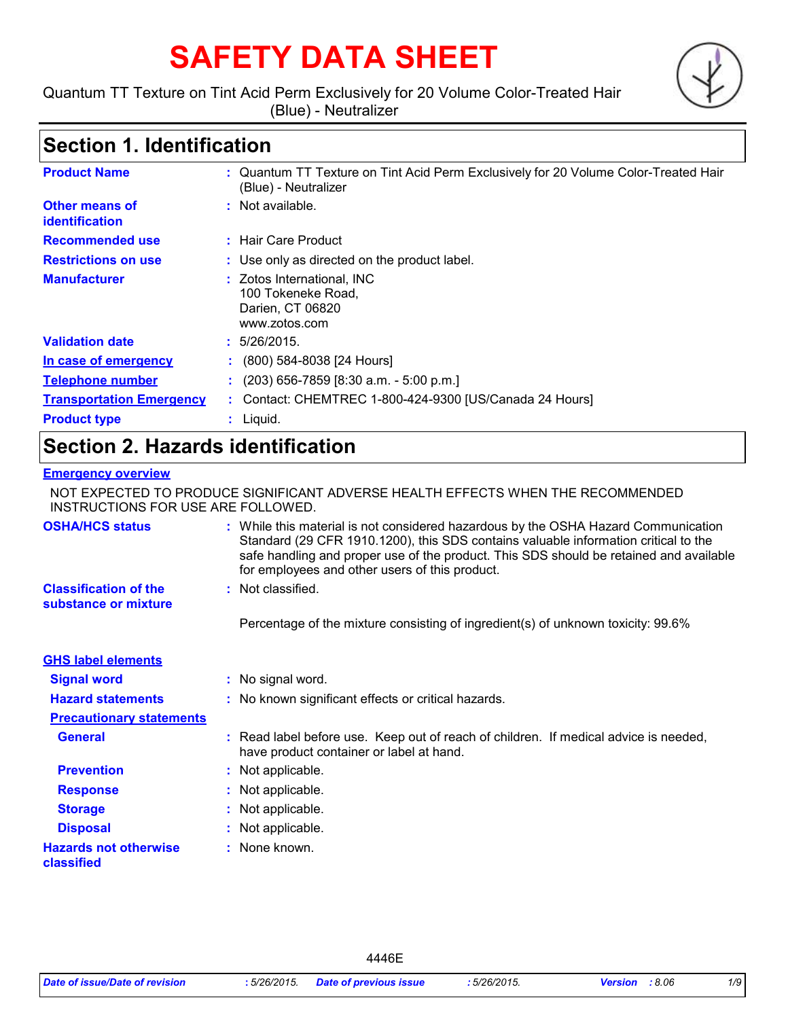# **SAFETY DATA SHEET**

Quantum TT Texture on Tint Acid Perm Exclusively for 20 Volume Color-Treated Hair (Blue) - Neutralizer



### **Section 1. Identification**

| <b>Product Name</b>              | : Quantum TT Texture on Tint Acid Perm Exclusively for 20 Volume Color-Treated Hair<br>(Blue) - Neutralizer |  |
|----------------------------------|-------------------------------------------------------------------------------------------------------------|--|
| Other means of<br>identification | $:$ Not available.                                                                                          |  |
| <b>Recommended use</b>           | : Hair Care Product                                                                                         |  |
| <b>Restrictions on use</b>       | : Use only as directed on the product label.                                                                |  |
| <b>Manufacturer</b>              | : Zotos International, INC<br>100 Tokeneke Road,<br>Darien, CT 06820<br>www.zotos.com                       |  |
| <b>Validation date</b>           | : 5/26/2015.                                                                                                |  |
| In case of emergency             | $\colon$ (800) 584-8038 [24 Hours]                                                                          |  |
| <b>Telephone number</b>          | $(203)$ 656-7859 [8:30 a.m. - 5:00 p.m.]                                                                    |  |
| <b>Transportation Emergency</b>  | Contact: CHEMTREC 1-800-424-9300 [US/Canada 24 Hours]                                                       |  |
| <b>Product type</b>              | $:$ Liquid.                                                                                                 |  |

### **Section 2. Hazards identification**

#### **Emergency overview**

NOT EXPECTED TO PRODUCE SIGNIFICANT ADVERSE HEALTH EFFECTS WHEN THE RECOMMENDED INSTRUCTIONS FOR USE ARE FOLLOWED.

| <b>OSHA/HCS status</b>                               | : While this material is not considered hazardous by the OSHA Hazard Communication<br>Standard (29 CFR 1910.1200), this SDS contains valuable information critical to the<br>safe handling and proper use of the product. This SDS should be retained and available<br>for employees and other users of this product. |
|------------------------------------------------------|-----------------------------------------------------------------------------------------------------------------------------------------------------------------------------------------------------------------------------------------------------------------------------------------------------------------------|
| <b>Classification of the</b><br>substance or mixture | : Not classified.                                                                                                                                                                                                                                                                                                     |
|                                                      | Percentage of the mixture consisting of ingredient(s) of unknown toxicity: 99.6%                                                                                                                                                                                                                                      |
| <b>GHS label elements</b>                            |                                                                                                                                                                                                                                                                                                                       |
| <b>Signal word</b>                                   | : No signal word.                                                                                                                                                                                                                                                                                                     |
| <b>Hazard statements</b>                             | : No known significant effects or critical hazards.                                                                                                                                                                                                                                                                   |
| <b>Precautionary statements</b>                      |                                                                                                                                                                                                                                                                                                                       |
| <b>General</b>                                       | : Read label before use. Keep out of reach of children. If medical advice is needed,<br>have product container or label at hand.                                                                                                                                                                                      |
| <b>Prevention</b>                                    | : Not applicable.                                                                                                                                                                                                                                                                                                     |
| <b>Response</b>                                      | : Not applicable.                                                                                                                                                                                                                                                                                                     |
| <b>Storage</b>                                       | : Not applicable.                                                                                                                                                                                                                                                                                                     |
| <b>Disposal</b>                                      | : Not applicable.                                                                                                                                                                                                                                                                                                     |
| <b>Hazards not otherwise</b><br>classified           | : None known.                                                                                                                                                                                                                                                                                                         |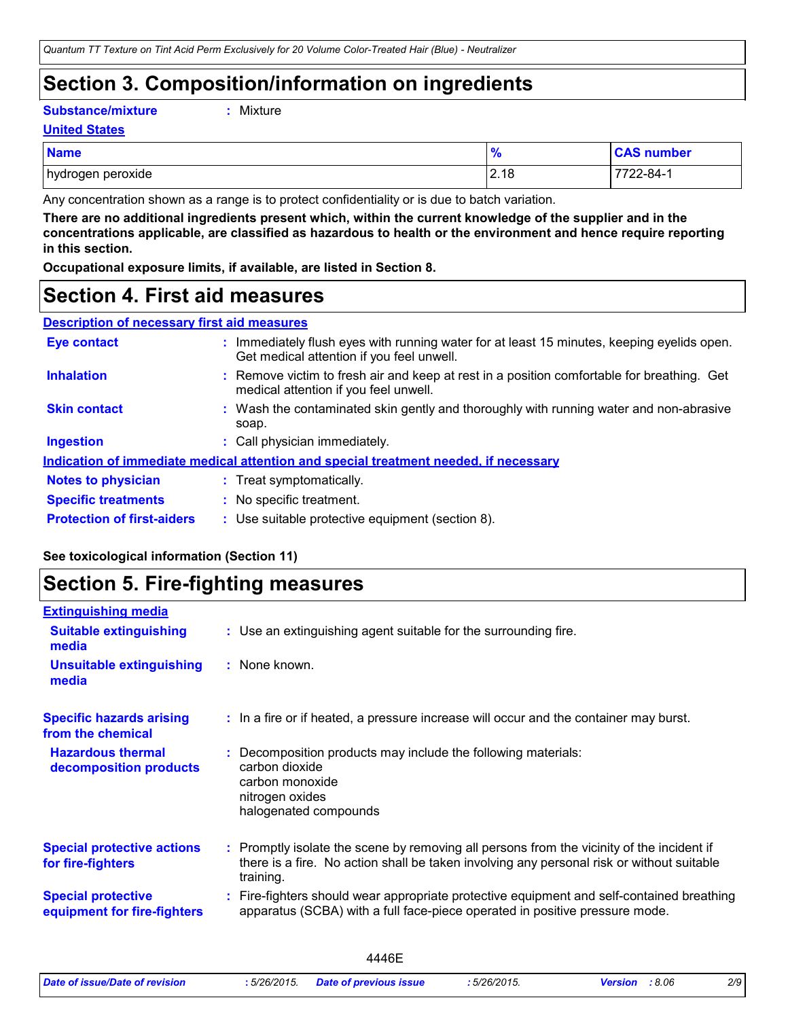### **Section 3. Composition/information on ingredients**

**Substance/mixture :**

```
: Mixture
```
**United States**

| <b>Name</b>       | $\prime$       | <b>CAS number</b> |
|-------------------|----------------|-------------------|
| hydrogen peroxide | 0.10<br>12. IO | 7722-84-1         |

Any concentration shown as a range is to protect confidentiality or is due to batch variation.

**There are no additional ingredients present which, within the current knowledge of the supplier and in the concentrations applicable, are classified as hazardous to health or the environment and hence require reporting in this section.**

**Occupational exposure limits, if available, are listed in Section 8.**

### **Section 4. First aid measures**

| <b>Description of necessary first aid measures</b> |                                                                                                                                         |
|----------------------------------------------------|-----------------------------------------------------------------------------------------------------------------------------------------|
| <b>Eye contact</b>                                 | : Immediately flush eyes with running water for at least 15 minutes, keeping eyelids open.<br>Get medical attention if you feel unwell. |
| <b>Inhalation</b>                                  | : Remove victim to fresh air and keep at rest in a position comfortable for breathing. Get<br>medical attention if you feel unwell.     |
| <b>Skin contact</b>                                | : Wash the contaminated skin gently and thoroughly with running water and non-abrasive<br>soap.                                         |
| <b>Ingestion</b>                                   | : Call physician immediately.                                                                                                           |
|                                                    | Indication of immediate medical attention and special treatment needed, if necessary                                                    |
| <b>Notes to physician</b>                          | : Treat symptomatically.                                                                                                                |
| <b>Specific treatments</b>                         | : No specific treatment.                                                                                                                |
| <b>Protection of first-aiders</b>                  | : Use suitable protective equipment (section 8).                                                                                        |

#### **See toxicological information (Section 11)**

### **Section 5. Fire-fighting measures**

| <b>Extinguishing media</b>                               |                                                                                                                                                                                                     |
|----------------------------------------------------------|-----------------------------------------------------------------------------------------------------------------------------------------------------------------------------------------------------|
| <b>Suitable extinguishing</b><br>media                   | : Use an extinguishing agent suitable for the surrounding fire.                                                                                                                                     |
| <b>Unsuitable extinguishing</b><br>media                 | : None known.                                                                                                                                                                                       |
| <b>Specific hazards arising</b><br>from the chemical     | : In a fire or if heated, a pressure increase will occur and the container may burst.                                                                                                               |
| <b>Hazardous thermal</b><br>decomposition products       | Decomposition products may include the following materials:<br>carbon dioxide<br>carbon monoxide<br>nitrogen oxides<br>halogenated compounds                                                        |
| <b>Special protective actions</b><br>for fire-fighters   | : Promptly isolate the scene by removing all persons from the vicinity of the incident if<br>there is a fire. No action shall be taken involving any personal risk or without suitable<br>training. |
| <b>Special protective</b><br>equipment for fire-fighters | Fire-fighters should wear appropriate protective equipment and self-contained breathing<br>apparatus (SCBA) with a full face-piece operated in positive pressure mode.                              |
|                                                          |                                                                                                                                                                                                     |

|                                |             | 446F                          |           |                |     |
|--------------------------------|-------------|-------------------------------|-----------|----------------|-----|
| Date of issue/Date of revision | :5/26/2015. | <b>Date of previous issue</b> | 5/26/2015 | Version : 8.06 | 2/9 |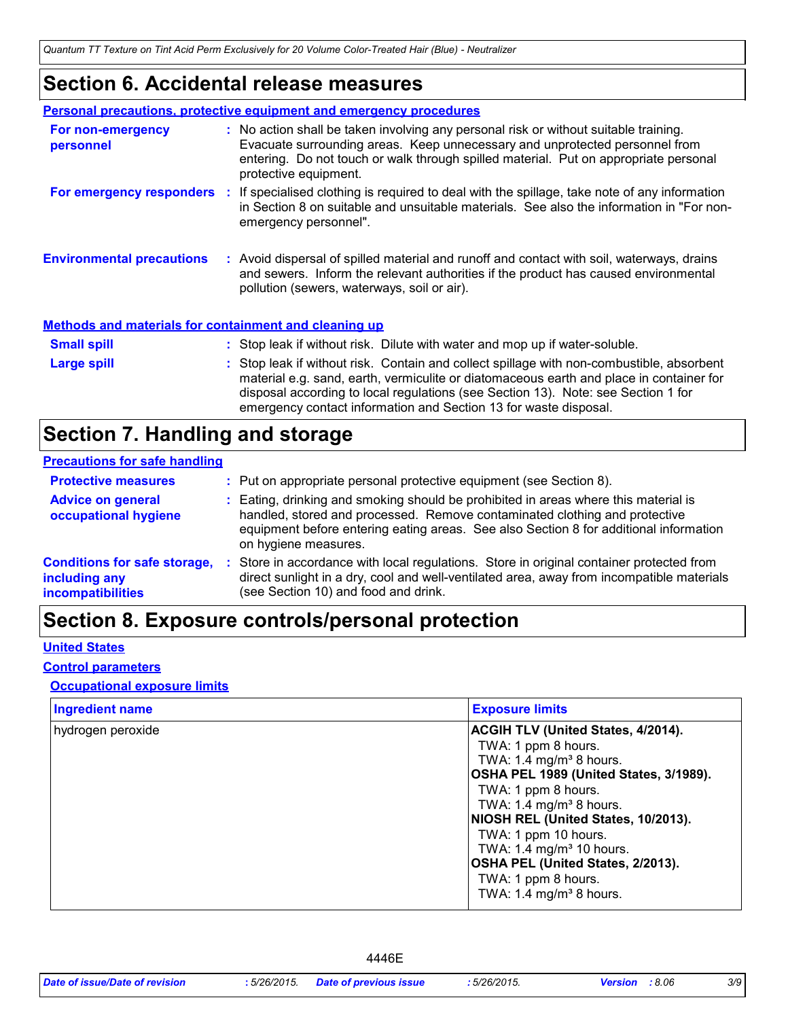### **Section 6. Accidental release measures**

|                                                              | <b>Personal precautions, protective equipment and emergency procedures</b>                                                                                                                                                                                                                                                                    |
|--------------------------------------------------------------|-----------------------------------------------------------------------------------------------------------------------------------------------------------------------------------------------------------------------------------------------------------------------------------------------------------------------------------------------|
| For non-emergency<br>personnel                               | : No action shall be taken involving any personal risk or without suitable training.<br>Evacuate surrounding areas. Keep unnecessary and unprotected personnel from<br>entering. Do not touch or walk through spilled material. Put on appropriate personal<br>protective equipment.                                                          |
|                                                              | For emergency responders : If specialised clothing is required to deal with the spillage, take note of any information<br>in Section 8 on suitable and unsuitable materials. See also the information in "For non-<br>emergency personnel".                                                                                                   |
| <b>Environmental precautions</b>                             | : Avoid dispersal of spilled material and runoff and contact with soil, waterways, drains<br>and sewers. Inform the relevant authorities if the product has caused environmental<br>pollution (sewers, waterways, soil or air).                                                                                                               |
| <b>Methods and materials for containment and cleaning up</b> |                                                                                                                                                                                                                                                                                                                                               |
| <b>Small spill</b>                                           | : Stop leak if without risk. Dilute with water and mop up if water-soluble.                                                                                                                                                                                                                                                                   |
| Large spill                                                  | : Stop leak if without risk. Contain and collect spillage with non-combustible, absorbent<br>material e.g. sand, earth, vermiculite or diatomaceous earth and place in container for<br>disposal according to local regulations (see Section 13). Note: see Section 1 for<br>emergency contact information and Section 13 for waste disposal. |

### **Section 7. Handling and storage**

#### **Precautions for safe handling**

| <b>Protective measures</b>                                                       | : Put on appropriate personal protective equipment (see Section 8).                                                                                                                                                                                                                |
|----------------------------------------------------------------------------------|------------------------------------------------------------------------------------------------------------------------------------------------------------------------------------------------------------------------------------------------------------------------------------|
| <b>Advice on general</b><br>occupational hygiene                                 | : Eating, drinking and smoking should be prohibited in areas where this material is<br>handled, stored and processed. Remove contaminated clothing and protective<br>equipment before entering eating areas. See also Section 8 for additional information<br>on hygiene measures. |
| <b>Conditions for safe storage,</b><br>including any<br><b>incompatibilities</b> | Store in accordance with local regulations. Store in original container protected from<br>direct sunlight in a dry, cool and well-ventilated area, away from incompatible materials<br>(see Section 10) and food and drink.                                                        |

### **Section 8. Exposure controls/personal protection**

#### **United States**

#### **Control parameters**

#### **Occupational exposure limits**

| <b>Ingredient name</b> | <b>Exposure limits</b>                                                                                                                                                                                                                                 |
|------------------------|--------------------------------------------------------------------------------------------------------------------------------------------------------------------------------------------------------------------------------------------------------|
| hydrogen peroxide      | <b>ACGIH TLV (United States, 4/2014).</b><br>TWA: 1 ppm 8 hours.<br>TWA: 1.4 mg/m <sup>3</sup> 8 hours.<br>OSHA PEL 1989 (United States, 3/1989).<br>TWA: 1 ppm 8 hours.<br>TWA: 1.4 mg/m <sup>3</sup> 8 hours.<br>NIOSH REL (United States, 10/2013). |
|                        | TWA: 1 ppm 10 hours.<br>TWA: 1.4 mg/m <sup>3</sup> 10 hours.<br>OSHA PEL (United States, 2/2013).<br>TWA: 1 ppm 8 hours.<br>TWA: $1.4 \text{ mg/m}^3$ 8 hours.                                                                                         |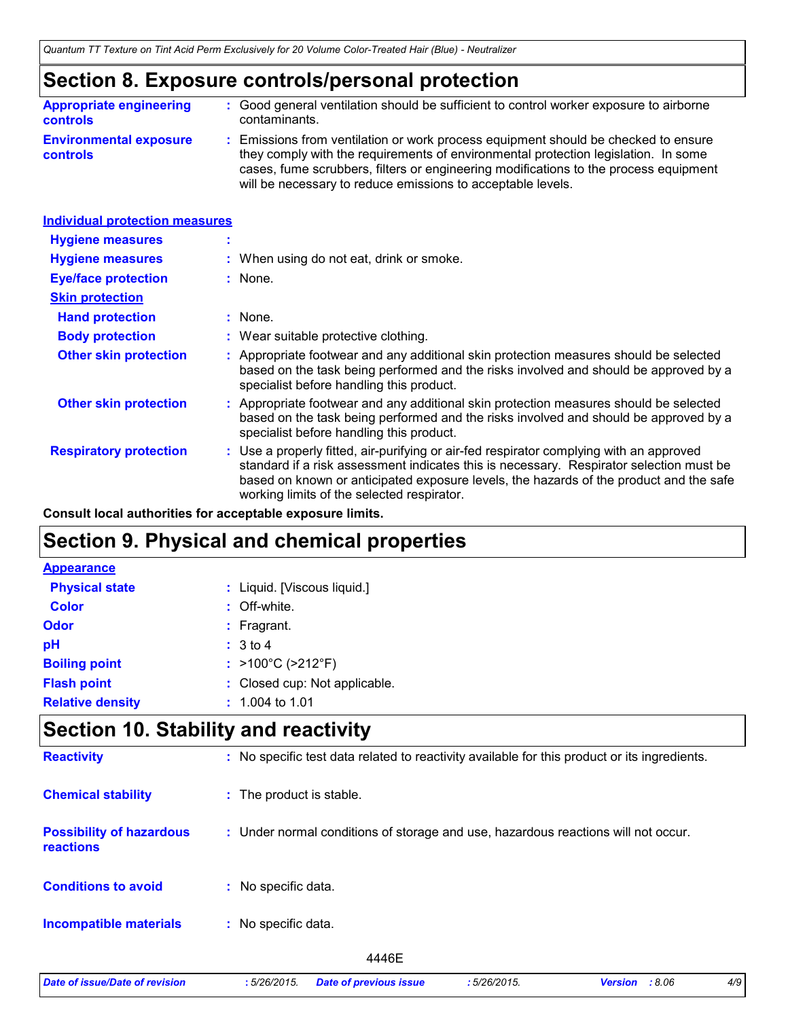### **Section 8. Exposure controls/personal protection**

| <b>Appropriate engineering</b>                   | : Good general ventilation should be sufficient to control worker exposure to airborne                                                                                                                                                                                                                                          |
|--------------------------------------------------|---------------------------------------------------------------------------------------------------------------------------------------------------------------------------------------------------------------------------------------------------------------------------------------------------------------------------------|
| <b>controls</b>                                  | contaminants.                                                                                                                                                                                                                                                                                                                   |
| <b>Environmental exposure</b><br><b>controls</b> | : Emissions from ventilation or work process equipment should be checked to ensure<br>they comply with the requirements of environmental protection legislation. In some<br>cases, fume scrubbers, filters or engineering modifications to the process equipment<br>will be necessary to reduce emissions to acceptable levels. |

| <b>Individual protection measures</b> |                                                                                                                                                                                                                                                                                                                            |
|---------------------------------------|----------------------------------------------------------------------------------------------------------------------------------------------------------------------------------------------------------------------------------------------------------------------------------------------------------------------------|
| <b>Hygiene measures</b>               |                                                                                                                                                                                                                                                                                                                            |
| <b>Hygiene measures</b>               | : When using do not eat, drink or smoke.                                                                                                                                                                                                                                                                                   |
| <b>Eye/face protection</b>            | $:$ None.                                                                                                                                                                                                                                                                                                                  |
| <b>Skin protection</b>                |                                                                                                                                                                                                                                                                                                                            |
| <b>Hand protection</b>                | : None.                                                                                                                                                                                                                                                                                                                    |
| <b>Body protection</b>                | : Wear suitable protective clothing.                                                                                                                                                                                                                                                                                       |
| <b>Other skin protection</b>          | Appropriate footwear and any additional skin protection measures should be selected<br>based on the task being performed and the risks involved and should be approved by a<br>specialist before handling this product.                                                                                                    |
| <b>Other skin protection</b>          | Appropriate footwear and any additional skin protection measures should be selected<br>based on the task being performed and the risks involved and should be approved by a<br>specialist before handling this product.                                                                                                    |
| <b>Respiratory protection</b>         | : Use a properly fitted, air-purifying or air-fed respirator complying with an approved<br>standard if a risk assessment indicates this is necessary. Respirator selection must be<br>based on known or anticipated exposure levels, the hazards of the product and the safe<br>working limits of the selected respirator. |

**Consult local authorities for acceptable exposure limits.**

### **Section 9. Physical and chemical properties**

| <b>Appearance</b>       |                               |
|-------------------------|-------------------------------|
| <b>Physical state</b>   | : Liquid. [Viscous liquid.]   |
| <b>Color</b>            | : Off-white.                  |
| Odor                    | $:$ Fragrant.                 |
| pH                      | $\therefore$ 3 to 4           |
| <b>Boiling point</b>    | : >100°C (>212°F)             |
| <b>Flash point</b>      | : Closed cup: Not applicable. |
| <b>Relative density</b> | $: 1.004$ to 1.01             |

### **Section 10. Stability and reactivity**

| <b>Reactivity</b>                            | : No specific test data related to reactivity available for this product or its ingredients. |
|----------------------------------------------|----------------------------------------------------------------------------------------------|
| <b>Chemical stability</b>                    | : The product is stable.                                                                     |
| <b>Possibility of hazardous</b><br>reactions | : Under normal conditions of storage and use, hazardous reactions will not occur.            |
| <b>Conditions to avoid</b>                   | : No specific data.                                                                          |
| <b>Incompatible materials</b>                | No specific data.<br>÷.                                                                      |
|                                              | 4446E                                                                                        |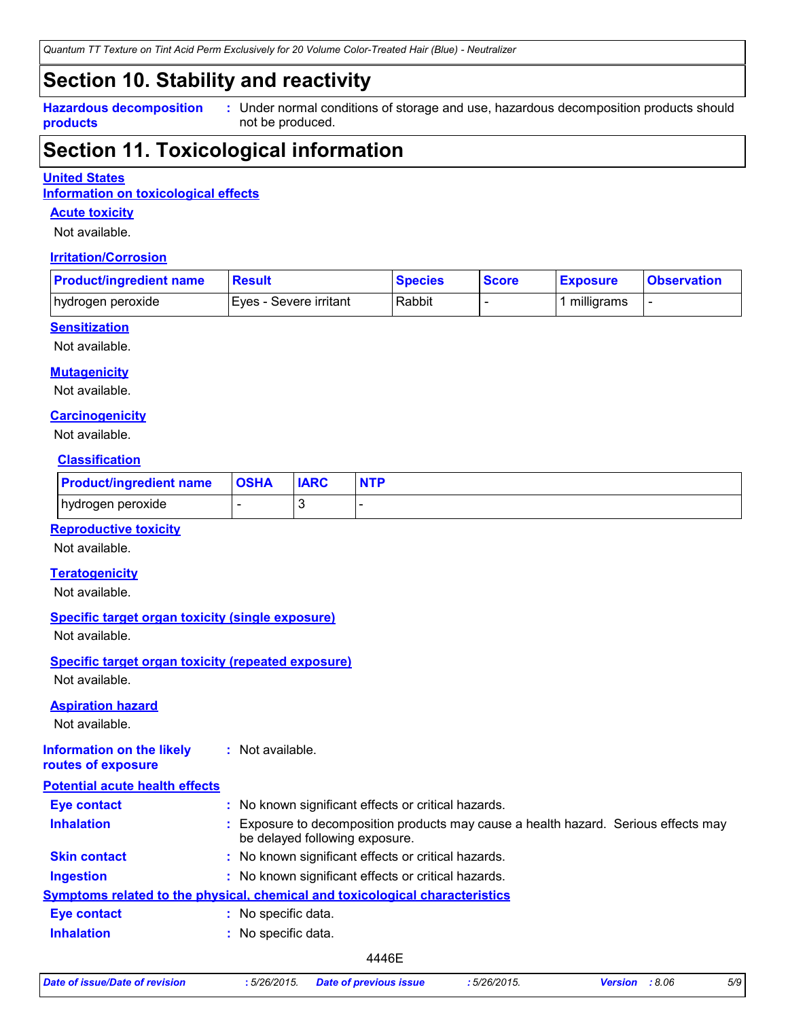*Quantum TT Texture on Tint Acid Perm Exclusively for 20 Volume Color-Treated Hair (Blue) - Neutralizer*

### **Section 10. Stability and reactivity**

**Hazardous decomposition products**

Under normal conditions of storage and use, hazardous decomposition products should **:** not be produced.

### **Section 11. Toxicological information**

#### **United States**

**Information on toxicological effects**

#### **Acute toxicity**

Not available.

#### **Irritation/Corrosion**

| <b>Product/ingredient name</b> | <b>Result</b>           | <b>Species</b> | <b>Score</b> | <b>Exposure</b> | <b>Observation</b> |
|--------------------------------|-------------------------|----------------|--------------|-----------------|--------------------|
| hydrogen peroxide              | IEves - Severe irritant | Rabbit         |              | milligrams      |                    |

#### **Sensitization**

Not available.

#### **Mutagenicity**

Not available.

#### **Carcinogenicity**

Not available.

#### **Classification**

| <b>Product/ingredient name</b> | <b>OSHA</b> | <b>IARC</b> | <b>NTP</b> |
|--------------------------------|-------------|-------------|------------|
| hydrogen peroxide              |             |             |            |

#### **Reproductive toxicity**

Not available.

#### **Teratogenicity**

Not available.

#### **Specific target organ toxicity (single exposure)**

Not available.

### **Specific target organ toxicity (repeated exposure)**

Not available.

#### **Aspiration hazard**

Not available.

#### **Information on the likely routes of exposure :** Not available.

| <b>Potential acute health effects</b> |    |                                                                                                                     |
|---------------------------------------|----|---------------------------------------------------------------------------------------------------------------------|
| <b>Eye contact</b>                    |    | : No known significant effects or critical hazards.                                                                 |
| <b>Inhalation</b>                     |    | Exposure to decomposition products may cause a health hazard. Serious effects may<br>be delayed following exposure. |
| <b>Skin contact</b>                   |    | : No known significant effects or critical hazards.                                                                 |
| <b>Ingestion</b>                      |    | : No known significant effects or critical hazards.                                                                 |
|                                       |    | Symptoms related to the physical, chemical and toxicological characteristics                                        |
| <b>Eye contact</b>                    | ÷. | No specific data.                                                                                                   |
| <b>Inhalation</b>                     |    | : No specific data.                                                                                                 |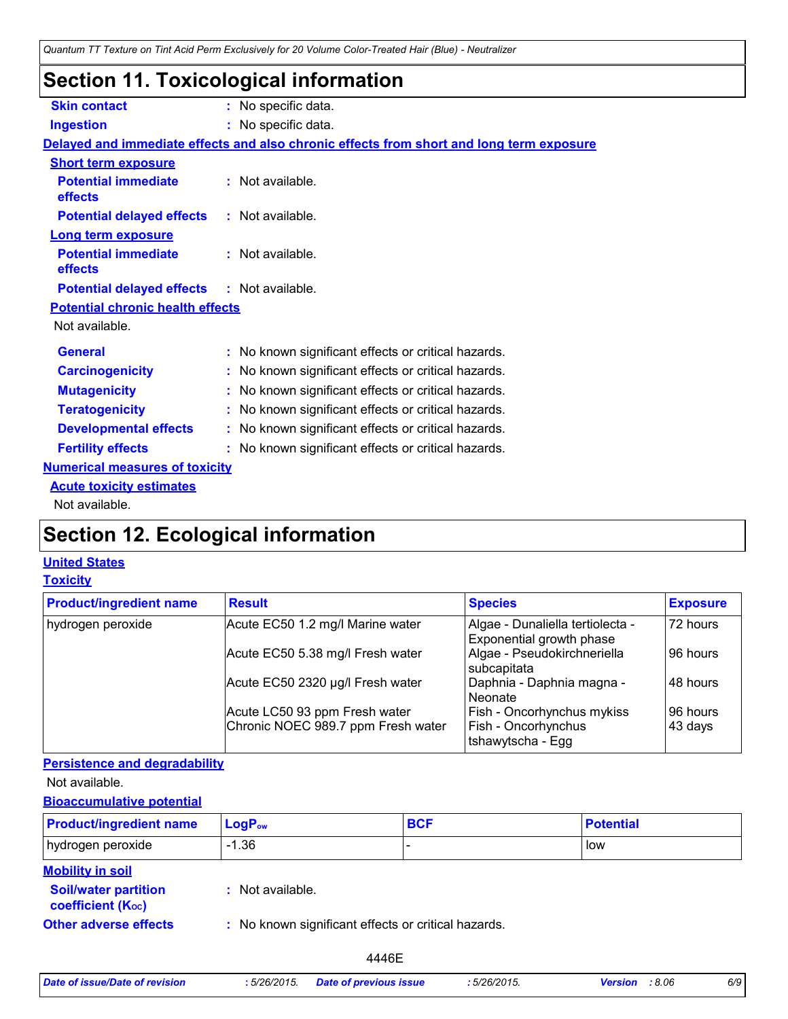### **Section 11. Toxicological information**

| <b>Skin contact</b>                               | : No specific data.                                                                      |
|---------------------------------------------------|------------------------------------------------------------------------------------------|
| <b>Ingestion</b>                                  | : No specific data.                                                                      |
|                                                   | Delayed and immediate effects and also chronic effects from short and long term exposure |
| <b>Short term exposure</b>                        |                                                                                          |
| <b>Potential immediate</b><br>effects             | : Not available.                                                                         |
| <b>Potential delayed effects</b>                  | : Not available.                                                                         |
| <b>Long term exposure</b>                         |                                                                                          |
| <b>Potential immediate</b><br>effects             | $:$ Not available.                                                                       |
| <b>Potential delayed effects : Not available.</b> |                                                                                          |
| <b>Potential chronic health effects</b>           |                                                                                          |
| Not available.                                    |                                                                                          |
| <b>General</b>                                    | : No known significant effects or critical hazards.                                      |
| <b>Carcinogenicity</b>                            | : No known significant effects or critical hazards.                                      |
| <b>Mutagenicity</b>                               | : No known significant effects or critical hazards.                                      |
| <b>Teratogenicity</b>                             | : No known significant effects or critical hazards.                                      |
| <b>Developmental effects</b>                      | : No known significant effects or critical hazards.                                      |
| <b>Fertility effects</b>                          | : No known significant effects or critical hazards.                                      |
| <b>Numerical measures of toxicity</b>             |                                                                                          |
| <b>Acute toxicity estimates</b>                   |                                                                                          |
| Not available.                                    |                                                                                          |

## **Section 12. Ecological information**

### **United States**

#### **Toxicity**

| <b>Product/ingredient name</b> | <b>Result</b>                      | <b>Species</b>                                               | <b>Exposure</b> |
|--------------------------------|------------------------------------|--------------------------------------------------------------|-----------------|
| hydrogen peroxide              | Acute EC50 1.2 mg/l Marine water   | Algae - Dunaliella tertiolecta -<br>Exponential growth phase | 72 hours        |
|                                | Acute EC50 5.38 mg/l Fresh water   | Algae - Pseudokirchneriella<br>subcapitata                   | 96 hours        |
|                                | Acute EC50 2320 µg/l Fresh water   | Daphnia - Daphnia magna -<br>l Neonate                       | 48 hours        |
|                                | Acute LC50 93 ppm Fresh water      | Fish - Oncorhynchus mykiss                                   | 96 hours        |
|                                | Chronic NOEC 989.7 ppm Fresh water | Fish - Oncorhynchus<br>tshawytscha - Egg                     | 43 days         |

#### **Persistence and degradability**

Not available.

#### **Bioaccumulative potential**

| <b>Product/ingredient name</b>                          | $LogP_{ow}$                                         | <b>BCF</b> | <b>Potential</b> |
|---------------------------------------------------------|-----------------------------------------------------|------------|------------------|
| hydrogen peroxide                                       | $-1.36$                                             |            | low              |
| <b>Mobility in soil</b>                                 |                                                     |            |                  |
| <b>Soil/water partition</b><br><b>coefficient (Koc)</b> | : Not available.                                    |            |                  |
| <b>Other adverse effects</b>                            | : No known significant effects or critical hazards. |            |                  |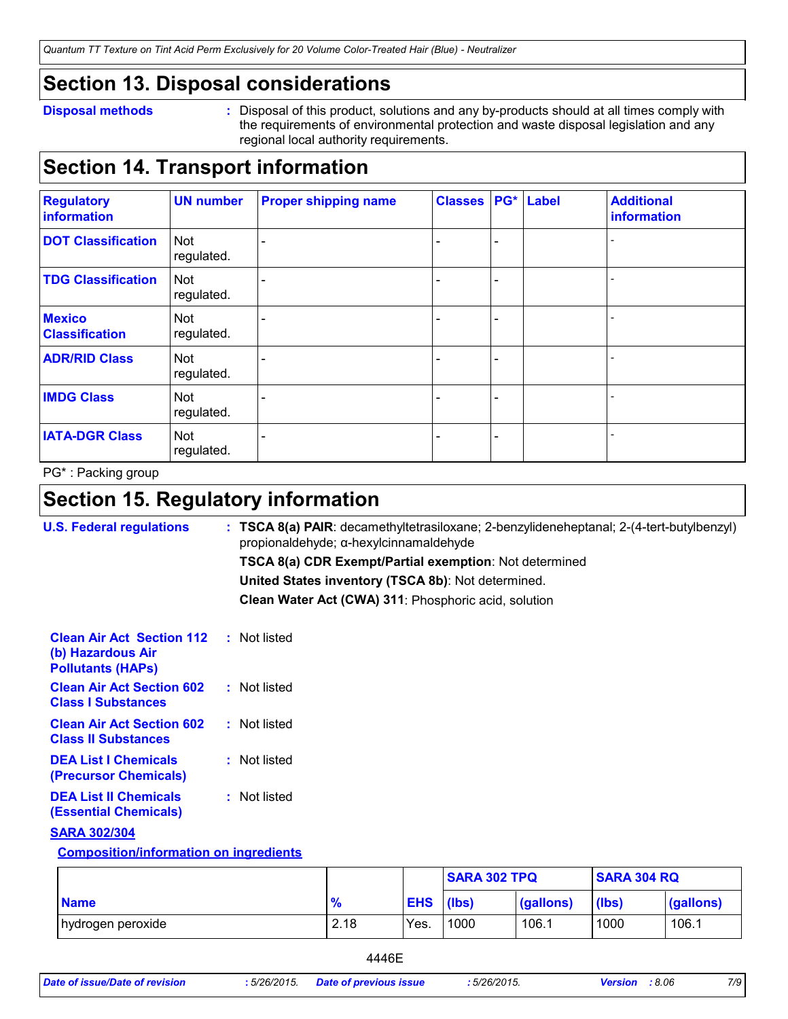*Quantum TT Texture on Tint Acid Perm Exclusively for 20 Volume Color-Treated Hair (Blue) - Neutralizer*

### **Section 13. Disposal considerations**

#### **Disposal methods :**

Disposal of this product, solutions and any by-products should at all times comply with the requirements of environmental protection and waste disposal legislation and any regional local authority requirements.

### **Section 14. Transport information**

| <b>Regulatory</b><br>information       | <b>UN number</b>         | <b>Proper shipping name</b> | <b>Classes</b> |   | <b>PG*</b> Label | <b>Additional</b><br>information |
|----------------------------------------|--------------------------|-----------------------------|----------------|---|------------------|----------------------------------|
| <b>DOT Classification</b>              | Not<br>regulated.        |                             |                | ÷ |                  |                                  |
| <b>TDG Classification</b>              | <b>Not</b><br>regulated. |                             |                |   |                  |                                  |
| <b>Mexico</b><br><b>Classification</b> | Not<br>regulated.        |                             |                | ۳ |                  |                                  |
| <b>ADR/RID Class</b>                   | Not<br>regulated.        |                             |                |   |                  |                                  |
| <b>IMDG Class</b>                      | Not<br>regulated.        |                             |                |   |                  |                                  |
| <b>IATA-DGR Class</b>                  | Not<br>regulated.        |                             |                |   |                  |                                  |

PG\* : Packing group

### **Section 15. Regulatory information**

| <b>U.S. Federal regulations</b>                                                   | $:$ TSCA 8(a) PAIR: decamethyltetrasiloxane; 2-benzylideneheptanal; 2-(4-tert-butylbenzyl)<br>propionaldehyde; α-hexylcinnamaldehyde |
|-----------------------------------------------------------------------------------|--------------------------------------------------------------------------------------------------------------------------------------|
|                                                                                   | TSCA 8(a) CDR Exempt/Partial exemption: Not determined                                                                               |
|                                                                                   | United States inventory (TSCA 8b): Not determined.                                                                                   |
|                                                                                   | Clean Water Act (CWA) 311: Phosphoric acid, solution                                                                                 |
| <b>Clean Air Act Section 112</b><br>(b) Hazardous Air<br><b>Pollutants (HAPS)</b> | : Not listed                                                                                                                         |
| <b>Clean Air Act Section 602</b><br><b>Class I Substances</b>                     | : Not listed                                                                                                                         |
| <b>Clean Air Act Section 602</b><br><b>Class II Substances</b>                    | : Not listed                                                                                                                         |
| <b>DEA List I Chemicals</b><br>(Precursor Chemicals)                              | : Not listed                                                                                                                         |
| <b>DEA List II Chemicals</b><br><b>(Essential Chemicals)</b>                      | : Not listed                                                                                                                         |
| <b>SARA 302/304</b>                                                               |                                                                                                                                      |
| <b>Composition/information on ingredients</b>                                     |                                                                                                                                      |

|                   |               |                  | <b>SARA 302 TPQ</b> |           |                  | <b>SARA 304 RQ</b> |  |
|-------------------|---------------|------------------|---------------------|-----------|------------------|--------------------|--|
| <b>Name</b>       | $\frac{9}{6}$ | <b>EHS</b> (lbs) |                     | (gallons) | $(\mathsf{lbs})$ | (gallons)          |  |
| hydrogen peroxide | 2.18          | Yes.             | 1000                | 106.1     | 1000             | 106.1              |  |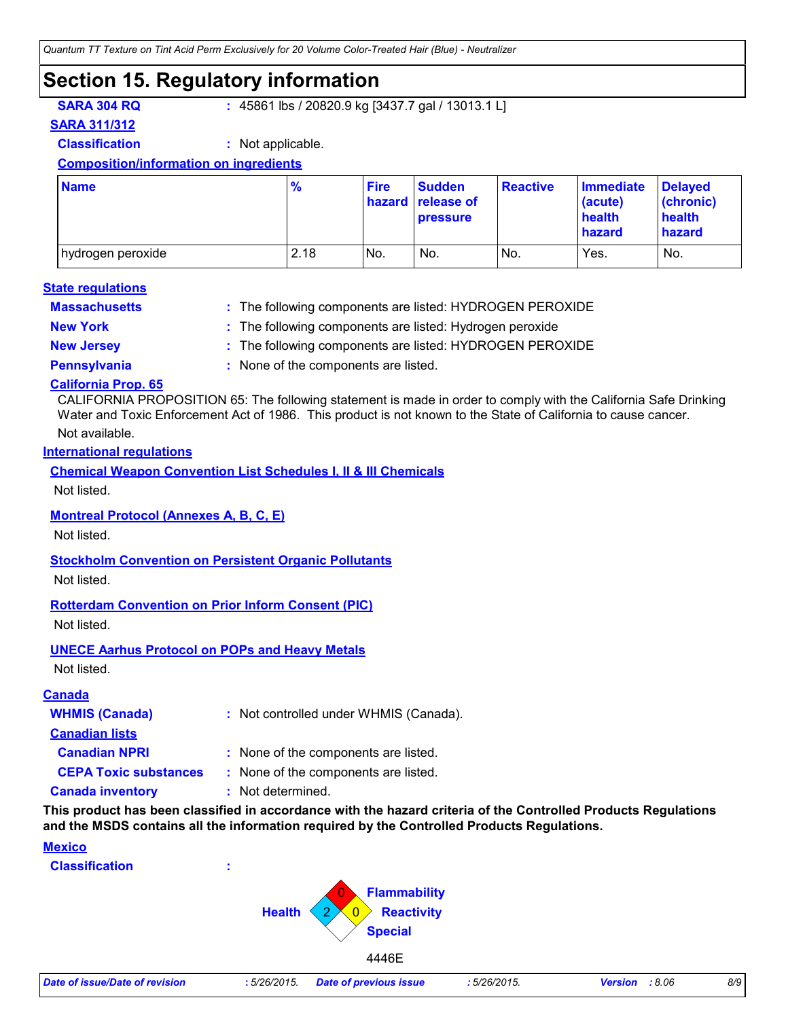### **Section 15. Regulatory information**

**SARA 304 RQ :** 45861 lbs / 20820.9 kg [3437.7 gal / 13013.1 L]

**SARA 311/312**

**Classification :** Not applicable.

#### **Composition/information on ingredients**

| <b>Name</b>       | $\frac{9}{6}$ | <b>Fire</b> | <b>Sudden</b><br>hazard release of<br><b>pressure</b> | <b>Reactive</b> | <b>Immediate</b><br>(acute)<br>health<br>hazard | <b>Delayed</b><br>(chronic)<br>health<br>hazard |
|-------------------|---------------|-------------|-------------------------------------------------------|-----------------|-------------------------------------------------|-------------------------------------------------|
| hydrogen peroxide | 2.18          | No.         | No.                                                   | No.             | Yes.                                            | No.                                             |

#### **Massachusetts : State regulations**

The following components are listed: HYDROGEN PEROXIDE

- 
- **New York :** The following components are listed: Hydrogen peroxide
- **New Jersey :** The following components are listed: HYDROGEN PEROXIDE
- 
- **Pennsylvania :** None of the components are listed.

#### **California Prop. 65**

CALIFORNIA PROPOSITION 65: The following statement is made in order to comply with the California Safe Drinking Water and Toxic Enforcement Act of 1986. This product is not known to the State of California to cause cancer.

#### Not available.

#### **International regulations**

**Chemical Weapon Convention List Schedules I, II & III Chemicals**

Not listed.

#### **Montreal Protocol (Annexes A, B, C, E)**

Not listed.

#### **Stockholm Convention on Persistent Organic Pollutants**

Not listed.

#### **Rotterdam Convention on Prior Inform Consent (PIC)**

Not listed.

#### **UNECE Aarhus Protocol on POPs and Heavy Metals**

Not listed.

#### **Canada**

| <b>WHMIS (Canada)</b>        | : Not controlled under WHMIS (Canada). |
|------------------------------|----------------------------------------|
| <b>Canadian lists</b>        |                                        |
| <b>Canadian NPRI</b>         | : None of the components are listed.   |
| <b>CEPA Toxic substances</b> | : None of the components are listed.   |
| <b>Canada inventory</b>      | : Not determined.                      |

**This product has been classified in accordance with the hazard criteria of the Controlled Products Regulations and the MSDS contains all the information required by the Controlled Products Regulations.**

#### **Mexico**

**Classification :**